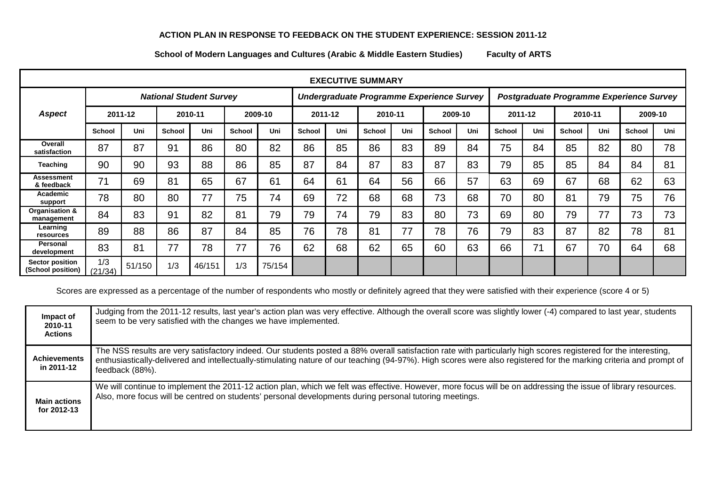## **ACTION PLAN IN RESPONSE TO FEEDBACK ON THE STUDENT EXPERIENCE: SESSION 2011-12**

**School of Modern Languages and Cultures (Arabic & Middle Eastern Studies) Faculty of ARTS**

| <b>EXECUTIVE SUMMARY</b>             |                                |        |               |        |               |                                           |         |     |               |     |                                          |     |         |     |         |     |               |     |
|--------------------------------------|--------------------------------|--------|---------------|--------|---------------|-------------------------------------------|---------|-----|---------------|-----|------------------------------------------|-----|---------|-----|---------|-----|---------------|-----|
|                                      | <b>National Student Survey</b> |        |               |        |               | Undergraduate Programme Experience Survey |         |     |               |     | Postgraduate Programme Experience Survey |     |         |     |         |     |               |     |
| <b>Aspect</b>                        | 2011-12                        |        | 2010-11       |        | 2009-10       |                                           | 2011-12 |     | 2010-11       |     | 2009-10                                  |     | 2011-12 |     | 2010-11 |     | 2009-10       |     |
|                                      | <b>School</b>                  | Uni    | <b>School</b> | Uni    | <b>School</b> | Uni                                       | School  | Uni | <b>School</b> | Uni | <b>School</b>                            | Uni | School  | Uni | School  | Uni | <b>School</b> | Uni |
| Overall<br>satisfaction              | 87                             | 87     | 91            | 86     | 80            | 82                                        | 86      | 85  | 86            | 83  | 89                                       | 84  | 75      | 84  | 85      | 82  | 80            | 78  |
| <b>Teaching</b>                      | 90                             | 90     | 93            | 88     | 86            | 85                                        | 87      | 84  | 87            | 83  | 87                                       | 83  | 79      | 85  | 85      | 84  | 84            | 81  |
| Assessment<br>& feedback             | 71                             | 69     | 81            | 65     | 67            | 61                                        | 64      | 61  | 64            | 56  | 66                                       | 57  | 63      | 69  | 67      | 68  | 62            | 63  |
| Academic<br>support                  | 78                             | 80     | 80            | 77     | 75            | 74                                        | 69      | 72  | 68            | 68  | 73                                       | 68  | 70      | 80  | 81      | 79  | 75            | 76  |
| Organisation &<br>management         | 84                             | 83     | 91            | 82     | 81            | 79                                        | 79      | 74  | 79            | 83  | 80                                       | 73  | 69      | 80  | 79      | 77  | 73            | 73  |
| Learning<br>resources                | 89                             | 88     | 86            | 87     | 84            | 85                                        | 76      | 78  | 81            | 77  | 78                                       | 76  | 79      | 83  | 87      | 82  | 78            | 81  |
| Personal<br>development              | 83                             | 81     | 77            | 78     | 77            | 76                                        | 62      | 68  | 62            | 65  | 60                                       | 63  | 66      | 71  | 67      | 70  | 64            | 68  |
| Sector position<br>(School position) | 1/3<br>(21/34)                 | 51/150 | 1/3           | 46/151 | 1/3           | 75/154                                    |         |     |               |     |                                          |     |         |     |         |     |               |     |

Scores are expressed as a percentage of the number of respondents who mostly or definitely agreed that they were satisfied with their experience (score 4 or 5)

| Impact of<br>2010-11<br><b>Actions</b> | Judging from the 2011-12 results, last year's action plan was very effective. Although the overall score was slightly lower (-4) compared to last year, students<br>seem to be very satisfied with the changes we have implemented.                                                                                                                      |
|----------------------------------------|----------------------------------------------------------------------------------------------------------------------------------------------------------------------------------------------------------------------------------------------------------------------------------------------------------------------------------------------------------|
| <b>Achievements</b><br>in 2011-12      | The NSS results are very satisfactory indeed. Our students posted a 88% overall satisfaction rate with particularly high scores registered for the interesting,<br>enthusiastically-delivered and intellectually-stimulating nature of our teaching (94-97%). High scores were also registered for the marking criteria and prompt of<br>feedback (88%). |
| <b>Main actions</b><br>for 2012-13     | We will continue to implement the 2011-12 action plan, which we felt was effective. However, more focus will be on addressing the issue of library resources.<br>Also, more focus will be centred on students' personal developments during personal tutoring meetings.                                                                                  |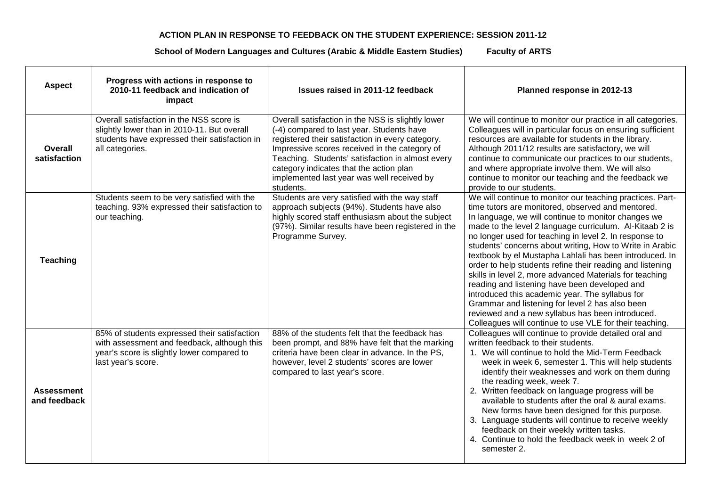## **ACTION PLAN IN RESPONSE TO FEEDBACK ON THE STUDENT EXPERIENCE: SESSION 2011-12**

**School of Modern Languages and Cultures (Arabic & Middle Eastern Studies) Faculty of ARTS**

| <b>Aspect</b>                     | Progress with actions in response to<br>2010-11 feedback and indication of<br>impact                                                                            | Issues raised in 2011-12 feedback                                                                                                                                                                                                                                                                                                                             | Planned response in 2012-13                                                                                                                                                                                                                                                                                                                                                                                                                                                                                                                                                                                                                                                                                                                                                                                     |  |  |  |
|-----------------------------------|-----------------------------------------------------------------------------------------------------------------------------------------------------------------|---------------------------------------------------------------------------------------------------------------------------------------------------------------------------------------------------------------------------------------------------------------------------------------------------------------------------------------------------------------|-----------------------------------------------------------------------------------------------------------------------------------------------------------------------------------------------------------------------------------------------------------------------------------------------------------------------------------------------------------------------------------------------------------------------------------------------------------------------------------------------------------------------------------------------------------------------------------------------------------------------------------------------------------------------------------------------------------------------------------------------------------------------------------------------------------------|--|--|--|
| Overall<br>satisfaction           | Overall satisfaction in the NSS score is<br>slightly lower than in 2010-11. But overall<br>students have expressed their satisfaction in<br>all categories.     | Overall satisfaction in the NSS is slightly lower<br>(-4) compared to last year. Students have<br>registered their satisfaction in every category.<br>Impressive scores received in the category of<br>Teaching. Students' satisfaction in almost every<br>category indicates that the action plan<br>implemented last year was well received by<br>students. | We will continue to monitor our practice in all categories.<br>Colleagues will in particular focus on ensuring sufficient<br>resources are available for students in the library.<br>Although 2011/12 results are satisfactory, we will<br>continue to communicate our practices to our students,<br>and where appropriate involve them. We will also<br>continue to monitor our teaching and the feedback we<br>provide to our students.                                                                                                                                                                                                                                                                                                                                                                       |  |  |  |
| <b>Teaching</b>                   | Students seem to be very satisfied with the<br>teaching. 93% expressed their satisfaction to<br>our teaching.                                                   | Students are very satisfied with the way staff<br>approach subjects (94%). Students have also<br>highly scored staff enthusiasm about the subject<br>(97%). Similar results have been registered in the<br>Programme Survey.                                                                                                                                  | We will continue to monitor our teaching practices. Part-<br>time tutors are monitored, observed and mentored.<br>In language, we will continue to monitor changes we<br>made to the level 2 language curriculum. Al-Kitaab 2 is<br>no longer used for teaching in level 2. In response to<br>students' concerns about writing, How to Write in Arabic<br>textbook by el Mustapha Lahlali has been introduced. In<br>order to help students refine their reading and listening<br>skills in level 2, more advanced Materials for teaching<br>reading and listening have been developed and<br>introduced this academic year. The syllabus for<br>Grammar and listening for level 2 has also been<br>reviewed and a new syllabus has been introduced.<br>Colleagues will continue to use VLE for their teaching. |  |  |  |
| <b>Assessment</b><br>and feedback | 85% of students expressed their satisfaction<br>with assessment and feedback, although this<br>year's score is slightly lower compared to<br>last year's score. | 88% of the students felt that the feedback has<br>been prompt, and 88% have felt that the marking<br>criteria have been clear in advance. In the PS,<br>however, level 2 students' scores are lower<br>compared to last year's score.                                                                                                                         | Colleagues will continue to provide detailed oral and<br>written feedback to their students.<br>1. We will continue to hold the Mid-Term Feedback<br>week in week 6, semester 1. This will help students<br>identify their weaknesses and work on them during<br>the reading week, week 7.<br>2. Written feedback on language progress will be<br>available to students after the oral & aural exams.<br>New forms have been designed for this purpose.<br>3. Language students will continue to receive weekly<br>feedback on their weekly written tasks.<br>4. Continue to hold the feedback week in week 2 of<br>semester 2.                                                                                                                                                                                 |  |  |  |